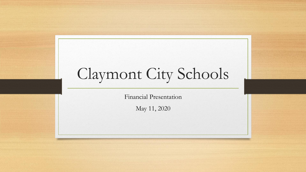# Claymont City Schools

Financial Presentation

May 11, 2020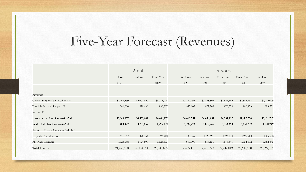# Five-Year Forecast (Revenues)

|                                         | Actual      |             |             | Forecasted  |             |             |             |             |
|-----------------------------------------|-------------|-------------|-------------|-------------|-------------|-------------|-------------|-------------|
|                                         | Fiscal Year | Fiscal Year | Fiscal Year | Fiscal Year | Fiscal Year | Fiscal Year | Fiscal Year | Fiscal Year |
|                                         | 2017        | 2018        | 2019        | 2020        | 2021        | 2022        | 2023        | 2024        |
|                                         |             |             |             |             |             |             |             |             |
| Revenues                                |             |             |             |             |             |             |             |             |
| General Property Tax (Real Estate)      | \$2,967,559 | \$3,007,990 | \$3,075,144 | \$3,227,995 | \$3,058,802 | \$2,837,849 | \$2,852,038 | \$2,909,079 |
| Tangible Personal Property Tax          | 541,280     | 820,696     | 856,207     | 855,107     | 872,209     | 876,570     | 880,953     | 898,572     |
| Income Tax                              |             |             |             |             |             |             |             |             |
| <b>Unrestricted State Grants-in-Aid</b> | 15,345,567  | 14,461,247  | 14,499,117  | 14,463,991  | 14,608,631  | 14,754,717  | 14,902,264  | 15,051,287  |
| <b>Restricted State Grants-in-Aid</b>   | 469,927     | 1,781,857   | 1,796,832   | 1,797,273   | 1,815,246   | 1,833,398   | 1,851,732   | 1,870,249   |
| Restricted Federal Grants-in-Aid - SFSF |             |             |             |             |             |             |             |             |
| Property Tax Allocation                 | 510,167     | 498,164     | 493,912     | 481,069     | \$490,691   | \$493,144   | \$495,610   | \$505,522   |
| All Other Revenues                      | 1,628,688   | 1,524,600   | 1,628,593   | 1,630,000   | 1,638,150   | 1,646,341   | 1,654,572   | 1,662,845   |
| <b>Total Revenues</b>                   | 21,463,188  | 22,094,554  | 22,349,805  | 22,455,435  | 22,483,728  | 22,442,019  | 22,637,170  | 22,897,555  |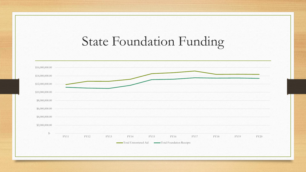# State Foundation Funding

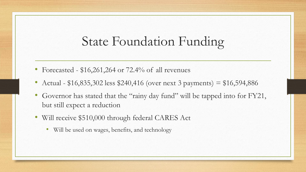### State Foundation Funding

- Forecasted  $$16,261,264$  or  $72.4\%$  of all revenues
- Actual  $$16,835,302$  less  $$240,416$  (over next 3 payments) =  $$16,594,886$
- Governor has stated that the "rainy day fund" will be tapped into for FY21, but still expect a reduction
- Will receive \$510,000 through federal CARES Act
	- Will be used on wages, benefits, and technology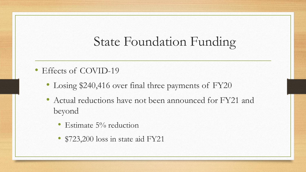# State Foundation Funding

- Effects of COVID-19
	- Losing \$240,416 over final three payments of FY20
	- Actual reductions have not been announced for FY21 and beyond
		- Estimate 5% reduction
		- \$723,200 loss in state aid FY21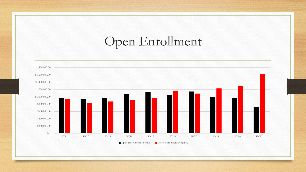# Open Enrollment

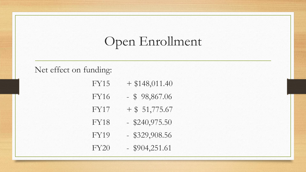# Open Enrollment

#### Net effect on funding:

- $FY15 + $148,011.40$
- FY16 \$ 98,867.06
- $FY17 + $ 51,775.67$
- FY18 \$240,975.50
- FY19 \$329,908.56
- FY20 \$904,251.61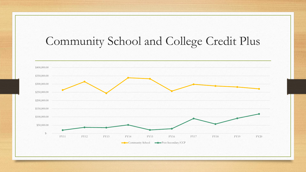### Community School and College Credit Plus

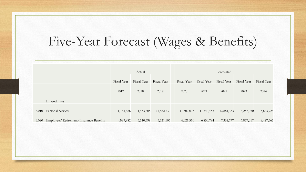## Five-Year Forecast (Wages & Benefits)

|       |                                          | Actual      |             |             | Forecasted  |             |             |             |             |  |
|-------|------------------------------------------|-------------|-------------|-------------|-------------|-------------|-------------|-------------|-------------|--|
|       |                                          | Fiscal Year | Fiscal Year | Fiscal Year | Fiscal Year | Fiscal Year | Fiscal Year | Fiscal Year | Fiscal Year |  |
|       |                                          | 2017        | 2018        | 2019        | 2020        | 2021        | 2022        | 2023        | 2024        |  |
|       | Expenditures                             |             |             |             |             |             |             |             |             |  |
| 3.010 | Personal Services                        | 11,183,686  | 11,453,605  | 11,882,630  | 11,507,095  | 11,540,453  | 12,881,333  | 13,258,050  | 13,645,924  |  |
| 3.020 | Employees' Retirement/Insurance Benefits | 4,989,982   | 5,510,599   | 5,521,106   | 6,021,510   | 6,850,794   | 7,332,777   | 7,857,017   | 8,427,565   |  |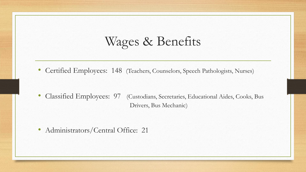## Wages & Benefits

• Certified Employees: 148 (Teachers, Counselors, Speech Pathologists, Nurses)

• Classified Employees: 97 (Custodians, Secretaries, Educational Aides, Cooks, Bus Drivers, Bus Mechanic)

• Administrators/Central Office: 21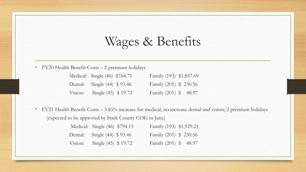## Wages & Benefits

• FY20 Health Benefit Costs – 2 premium holidays

| Medical: Single (46) \$764.71 | Family (193) \$1,857.69 |  |
|-------------------------------|-------------------------|--|
| Dental: Single (44) \$93.46   | Family (201) \$ 230.56  |  |
| Vision: Single $(45)$ \$19.72 | Family (201) \$ 48.97   |  |

• FY21 Health Benefit Costs – 3.85% increase for medical, no increase dental and vision; 2 premium holidays (expected to be approved by Stark County COG in June)

|  | Medical: Single (46) \$794.15 | Family (193) \$1,929.21 |
|--|-------------------------------|-------------------------|
|  | Dental: Single (44) \$93.46   | Family (201) \$ 230.56  |
|  | Vision: Single $(45)$ \$19.72 | Family (201) \$ 48.97   |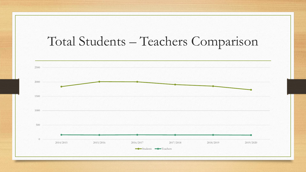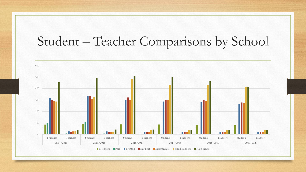# Student – Teacher Comparisons by School